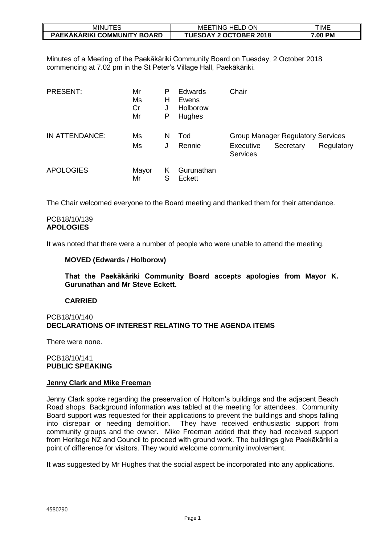| JTES<br>minu1                      | ON<br><b>MEE</b><br>`HELL<br>TING. | TIME              |
|------------------------------------|------------------------------------|-------------------|
| <b>PAEKAKARIKI COMMUNITY BOARD</b> | <b>TUESDAY 2 OCTOBER 2018</b>      | <b>PM</b><br>7.00 |

Minutes of a Meeting of the Paekākāriki Community Board on Tuesday, 2 October 2018 commencing at 7.02 pm in the St Peter's Village Hall, Paekākāriki.

| <b>PRESENT:</b>  | Mr<br>Ms<br>Cr<br>Mr | Р<br>н<br>Ρ | <b>Edwards</b><br>Ewens<br>Holborow<br>Hughes | Chair                        |                                          |            |
|------------------|----------------------|-------------|-----------------------------------------------|------------------------------|------------------------------------------|------------|
| IN ATTENDANCE:   | Ms                   | N           | Tod                                           |                              | <b>Group Manager Regulatory Services</b> |            |
|                  | Ms                   | J           | Rennie                                        | Executive<br><b>Services</b> | Secretary                                | Regulatory |
| <b>APOLOGIES</b> | Mayor<br>Mr          | Κ<br>S      | Gurunathan<br>Eckett                          |                              |                                          |            |

The Chair welcomed everyone to the Board meeting and thanked them for their attendance.

# PCB18/10/139 **APOLOGIES**

It was noted that there were a number of people who were unable to attend the meeting.

# **MOVED (Edwards / Holborow)**

**That the Paekākāriki Community Board accepts apologies from Mayor K. Gurunathan and Mr Steve Eckett.**

# **CARRIED**

# PCB18/10/140 **DECLARATIONS OF INTEREST RELATING TO THE AGENDA ITEMS**

There were none.

# PCB18/10/141 **PUBLIC SPEAKING**

# **Jenny Clark and Mike Freeman**

Jenny Clark spoke regarding the preservation of Holtom's buildings and the adjacent Beach Road shops. Background information was tabled at the meeting for attendees. Community Board support was requested for their applications to prevent the buildings and shops falling into disrepair or needing demolition. They have received enthusiastic support from community groups and the owner. Mike Freeman added that they had received support from Heritage NZ and Council to proceed with ground work. The buildings give Paekākāriki a point of difference for visitors. They would welcome community involvement.

It was suggested by Mr Hughes that the social aspect be incorporated into any applications.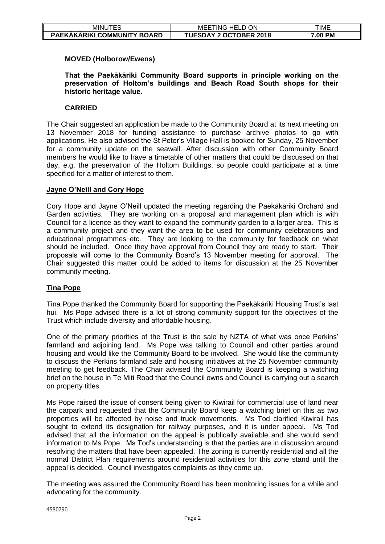| <b>MINUTES</b>              | ON<br><b>HELD</b><br>. ING<br>MEE | TIME    |
|-----------------------------|-----------------------------------|---------|
| PAEKĀKĀRIKI COMMUNITY BOARD | <b>TUESDAY 2 OCTOBER 2018</b>     | 7.00 PM |

# **MOVED (Holborow/Ewens)**

**That the Paekākāriki Community Board supports in principle working on the preservation of Holtom's buildings and Beach Road South shops for their historic heritage value.**

# **CARRIED**

The Chair suggested an application be made to the Community Board at its next meeting on 13 November 2018 for funding assistance to purchase archive photos to go with applications. He also advised the St Peter's Village Hall is booked for Sunday, 25 November for a community update on the seawall. After discussion with other Community Board members he would like to have a timetable of other matters that could be discussed on that day, e.g. the preservation of the Holtom Buildings, so people could participate at a time specified for a matter of interest to them.

# **Jayne O'Neill and Cory Hope**

Cory Hope and Jayne O'Neill updated the meeting regarding the Paekākāriki Orchard and Garden activities. They are working on a proposal and management plan which is with Council for a licence as they want to expand the community garden to a larger area. This is a community project and they want the area to be used for community celebrations and educational programmes etc. They are looking to the community for feedback on what should be included. Once they have approval from Council they are ready to start. Their proposals will come to the Community Board's 13 November meeting for approval. The Chair suggested this matter could be added to items for discussion at the 25 November community meeting.

# **Tina Pope**

Tina Pope thanked the Community Board for supporting the Paekākāriki Housing Trust's last hui. Ms Pope advised there is a lot of strong community support for the objectives of the Trust which include diversity and affordable housing.

One of the primary priorities of the Trust is the sale by NZTA of what was once Perkins' farmland and adjoining land. Ms Pope was talking to Council and other parties around housing and would like the Community Board to be involved. She would like the community to discuss the Perkins farmland sale and housing initiatives at the 25 November community meeting to get feedback. The Chair advised the Community Board is keeping a watching brief on the house in Te Miti Road that the Council owns and Council is carrying out a search on property titles.

Ms Pope raised the issue of consent being given to Kiwirail for commercial use of land near the carpark and requested that the Community Board keep a watching brief on this as two properties will be affected by noise and truck movements. Ms Tod clarified Kiwirail has sought to extend its designation for railway purposes, and it is under appeal. Ms Tod advised that all the information on the appeal is publically available and she would send information to Ms Pope. Ms Tod's understanding is that the parties are in discussion around resolving the matters that have been appealed. The zoning is currently residential and all the normal District Plan requirements around residential activities for this zone stand until the appeal is decided. Council investigates complaints as they come up.

The meeting was assured the Community Board has been monitoring issues for a while and advocating for the community.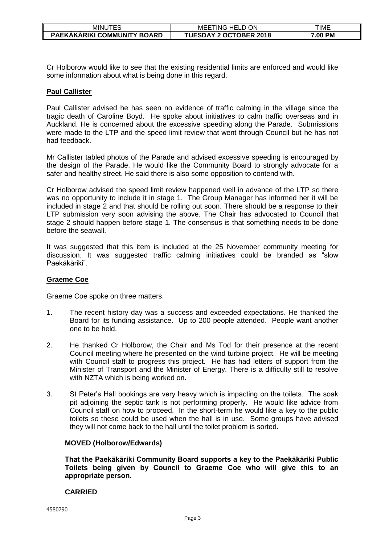| 'TES<br><b>MINU</b>         | <b>HELD ON</b><br>MEE<br>' ING | TIME    |
|-----------------------------|--------------------------------|---------|
| PAEKAKARIKI COMMUNITY BOARD | <b>TUESDAY 2 OCTOBER 2018</b>  | 7.00 PM |

Cr Holborow would like to see that the existing residential limits are enforced and would like some information about what is being done in this regard.

# **Paul Callister**

Paul Callister advised he has seen no evidence of traffic calming in the village since the tragic death of Caroline Boyd. He spoke about initiatives to calm traffic overseas and in Auckland. He is concerned about the excessive speeding along the Parade. Submissions were made to the LTP and the speed limit review that went through Council but he has not had feedback.

Mr Callister tabled photos of the Parade and advised excessive speeding is encouraged by the design of the Parade. He would like the Community Board to strongly advocate for a safer and healthy street. He said there is also some opposition to contend with.

Cr Holborow advised the speed limit review happened well in advance of the LTP so there was no opportunity to include it in stage 1. The Group Manager has informed her it will be included in stage 2 and that should be rolling out soon. There should be a response to their LTP submission very soon advising the above. The Chair has advocated to Council that stage 2 should happen before stage 1. The consensus is that something needs to be done before the seawall.

It was suggested that this item is included at the 25 November community meeting for discussion. It was suggested traffic calming initiatives could be branded as "slow Paekākāriki".

# **Graeme Coe**

Graeme Coe spoke on three matters.

- 1. The recent history day was a success and exceeded expectations. He thanked the Board for its funding assistance. Up to 200 people attended. People want another one to be held.
- 2. He thanked Cr Holborow, the Chair and Ms Tod for their presence at the recent Council meeting where he presented on the wind turbine project. He will be meeting with Council staff to progress this project. He has had letters of support from the Minister of Transport and the Minister of Energy. There is a difficulty still to resolve with NZTA which is being worked on.
- 3. St Peter's Hall bookings are very heavy which is impacting on the toilets. The soak pit adjoining the septic tank is not performing properly. He would like advice from Council staff on how to proceed. In the short-term he would like a key to the public toilets so these could be used when the hall is in use. Some groups have advised they will not come back to the hall until the toilet problem is sorted.

# **MOVED (Holborow/Edwards)**

**That the Paekākāriki Community Board supports a key to the Paekākāriki Public Toilets being given by Council to Graeme Coe who will give this to an appropriate person.**

# **CARRIED**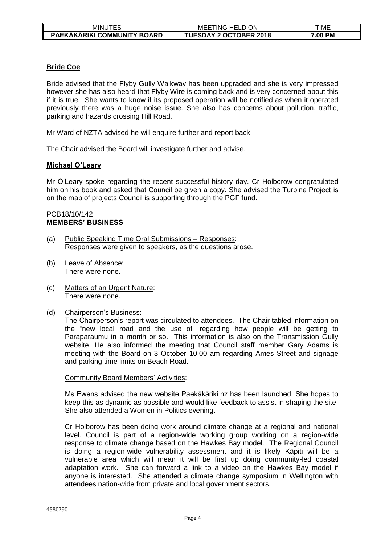| <b>MINUTES</b>              | ON<br>TING HELD<br>MEE        | TIME    |
|-----------------------------|-------------------------------|---------|
| PAEKĀKĀRIKI COMMUNITY BOARD | <b>TUESDAY 2 OCTOBER 2018</b> | 7.00 PM |

# **Bride Coe**

Bride advised that the Flyby Gully Walkway has been upgraded and she is very impressed however she has also heard that Flyby Wire is coming back and is very concerned about this if it is true. She wants to know if its proposed operation will be notified as when it operated previously there was a huge noise issue. She also has concerns about pollution, traffic, parking and hazards crossing Hill Road.

Mr Ward of NZTA advised he will enquire further and report back.

The Chair advised the Board will investigate further and advise.

# **Michael O'Leary**

Mr O'Leary spoke regarding the recent successful history day. Cr Holborow congratulated him on his book and asked that Council be given a copy. She advised the Turbine Project is on the map of projects Council is supporting through the PGF fund.

#### PCB18/10/142 **MEMBERS' BUSINESS**

- (a) Public Speaking Time Oral Submissions Responses: Responses were given to speakers, as the questions arose.
- (b) Leave of Absence: There were none.
- (c) Matters of an Urgent Nature: There were none.
- (d) Chairperson's Business:

The Chairperson's report was circulated to attendees. The Chair tabled information on the "new local road and the use of" regarding how people will be getting to Paraparaumu in a month or so. This information is also on the Transmission Gully website. He also informed the meeting that Council staff member Gary Adams is meeting with the Board on 3 October 10.00 am regarding Ames Street and signage and parking time limits on Beach Road.

# Community Board Members' Activities:

Ms Ewens advised the new website Paekākāriki.nz has been launched. She hopes to keep this as dynamic as possible and would like feedback to assist in shaping the site. She also attended a Women in Politics evening.

Cr Holborow has been doing work around climate change at a regional and national level. Council is part of a region-wide working group working on a region-wide response to climate change based on the Hawkes Bay model. The Regional Council is doing a region-wide vulnerability assessment and it is likely Kāpiti will be a vulnerable area which will mean it will be first up doing community-led coastal adaptation work. She can forward a link to a video on the Hawkes Bay model if anyone is interested. She attended a climate change symposium in Wellington with attendees nation-wide from private and local government sectors.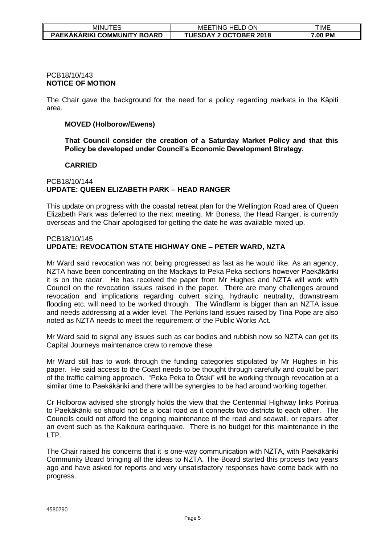| <b>MINUTES</b>                     | <b>ON</b><br>HELD<br>MEE<br>' ING | TIME    |
|------------------------------------|-----------------------------------|---------|
| <b>PAEKAKARIKI COMMUNITY BOARD</b> | <b>TUESDAY 2 OCTOBER 2018</b>     | 7.00 PM |

#### PCB18/10/143 **NOTICE OF MOTION**

The Chair gave the background for the need for a policy regarding markets in the Kāpiti area.

# **MOVED (Holborow/Ewens)**

**That Council consider the creation of a Saturday Market Policy and that this Policy be developed under Council's Economic Development Strategy.**

# **CARRIED**

#### PCB18/10/144 **UPDATE: QUEEN ELIZABETH PARK – HEAD RANGER**

This update on progress with the coastal retreat plan for the Wellington Road area of Queen Elizabeth Park was deferred to the next meeting. Mr Boness, the Head Ranger, is currently overseas and the Chair apologised for getting the date he was available mixed up.

# PCB18/10/145 **UPDATE: REVOCATION STATE HIGHWAY ONE – PETER WARD, NZTA**

Mr Ward said revocation was not being progressed as fast as he would like. As an agency, NZTA have been concentrating on the Mackays to Peka Peka sections however Paekākāriki it is on the radar. He has received the paper from Mr Hughes and NZTA will work with Council on the revocation issues raised in the paper. There are many challenges around revocation and implications regarding culvert sizing, hydraulic neutrality, downstream flooding etc. will need to be worked through. The Windfarm is bigger than an NZTA issue and needs addressing at a wider level. The Perkins land issues raised by Tina Pope are also noted as NZTA needs to meet the requirement of the Public Works Act.

Mr Ward said to signal any issues such as car bodies and rubbish now so NZTA can get its Capital Journeys maintenance crew to remove these.

Mr Ward still has to work through the funding categories stipulated by Mr Hughes in his paper. He said access to the Coast needs to be thought through carefully and could be part of the traffic calming approach. "Peka Peka to Ōtaki" will be working through revocation at a similar time to Paekākāriki and there will be synergies to be had around working together.

Cr Holborow advised she strongly holds the view that the Centennial Highway links Porirua to Paekākāriki so should not be a local road as it connects two districts to each other. The Councils could not afford the ongoing maintenance of the road and seawall, or repairs after an event such as the Kaikoura earthquake. There is no budget for this maintenance in the LTP.

The Chair raised his concerns that it is one-way communication with NZTA, with Paekākāriki Community Board bringing all the ideas to NZTA. The Board started this process two years ago and have asked for reports and very unsatisfactory responses have come back with no progress.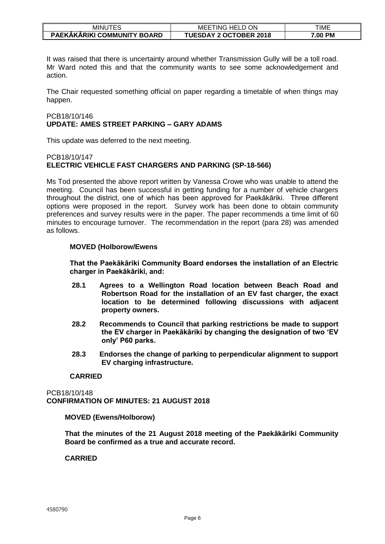| <b>MINUTES</b>                     | ON<br><b>HELD</b><br>. ING<br>MEE | TIME    |
|------------------------------------|-----------------------------------|---------|
| <b>PAEKAKARIKI COMMUNITY BOARD</b> | <b>TUESDAY 2 OCTOBER 2018</b>     | 7.00 PM |

It was raised that there is uncertainty around whether Transmission Gully will be a toll road. Mr Ward noted this and that the community wants to see some acknowledgement and action.

The Chair requested something official on paper regarding a timetable of when things may happen.

# PCB18/10/146 **UPDATE: AMES STREET PARKING – GARY ADAMS**

This update was deferred to the next meeting.

# PCB18/10/147 **ELECTRIC VEHICLE FAST CHARGERS AND PARKING (SP-18-566)**

Ms Tod presented the above report written by Vanessa Crowe who was unable to attend the meeting. Council has been successful in getting funding for a number of vehicle chargers throughout the district, one of which has been approved for Paekākāriki. Three different options were proposed in the report. Survey work has been done to obtain community preferences and survey results were in the paper. The paper recommends a time limit of 60 minutes to encourage turnover. The recommendation in the report (para 28) was amended as follows.

# **MOVED (Holborow/Ewens**

**That the Paekākāriki Community Board endorses the installation of an Electric charger in Paekākāriki, and:**

- **28.1 Agrees to a Wellington Road location between Beach Road and Robertson Road for the installation of an EV fast charger, the exact location to be determined following discussions with adjacent property owners.**
- **28.2 Recommends to Council that parking restrictions be made to support the EV charger in Paekākāriki by changing the designation of two 'EV only' P60 parks.**
- **28.3 Endorses the change of parking to perpendicular alignment to support EV charging infrastructure.**

# **CARRIED**

PCB18/10/148 **CONFIRMATION OF MINUTES: 21 AUGUST 2018**

# **MOVED (Ewens/Holborow)**

**That the minutes of the 21 August 2018 meeting of the Paekākāriki Community Board be confirmed as a true and accurate record.** 

# **CARRIED**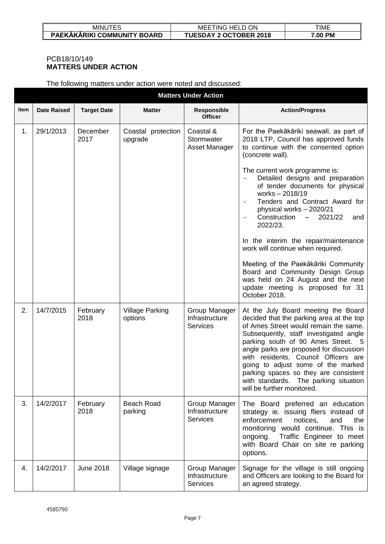| MINU                        | ON<br><b>MEE</b><br>$\sim$<br>`HELL<br>ING | TIME       |
|-----------------------------|--------------------------------------------|------------|
| PAEKAKARIKI COMMUNITY BOARD | <b>FUESDAY 2 OCTOBER 2018</b>              | РM<br>7.00 |

# PCB18/10/149 **MATTERS UNDER ACTION**

The following matters under action were noted and discussed:

|      | <b>Matters Under Action</b> |                    |                                   |                                                    |                                                                                                                                                                                                                                                                                                                                                                                                                                                   |  |  |  |
|------|-----------------------------|--------------------|-----------------------------------|----------------------------------------------------|---------------------------------------------------------------------------------------------------------------------------------------------------------------------------------------------------------------------------------------------------------------------------------------------------------------------------------------------------------------------------------------------------------------------------------------------------|--|--|--|
| Item | <b>Date Raised</b>          | <b>Target Date</b> | <b>Matter</b>                     | Responsible<br><b>Officer</b>                      | <b>Action/Progress</b>                                                                                                                                                                                                                                                                                                                                                                                                                            |  |  |  |
| 1.   | 29/1/2013                   | December<br>2017   | Coastal protection<br>upgrade     | Coastal &<br>Stormwater<br>Asset Manager           | For the Paekākāriki seawall, as part of<br>2018 LTP, Council has approved funds<br>to continue with the consented option<br>(concrete wall).                                                                                                                                                                                                                                                                                                      |  |  |  |
|      |                             |                    |                                   |                                                    | The current work programme is:<br>Detailed designs and preparation<br>of tender documents for physical<br>works - 2018/19<br>Tenders and Contract Award for<br>physical works - 2020/21<br>Construction<br>2021/22<br>$-$<br>and<br>2022/23.                                                                                                                                                                                                      |  |  |  |
|      |                             |                    |                                   |                                                    | In the interim the repair/maintenance<br>work will continue when required.                                                                                                                                                                                                                                                                                                                                                                        |  |  |  |
|      |                             |                    |                                   |                                                    | Meeting of the Paekākāriki Community<br>Board and Community Design Group<br>was held on 24 August and the next<br>update meeting is proposed for 31<br>October 2018.                                                                                                                                                                                                                                                                              |  |  |  |
| 2.   | 14/7/2015                   | February<br>2018   | <b>Village Parking</b><br>options | Group Manager<br>Infrastructure<br><b>Services</b> | At the July Board meeting the Board<br>decided that the parking area at the top<br>of Ames Street would remain the same.<br>Subsequently, staff investigated angle<br>parking south of 90 Ames Street. 5<br>angle parks are proposed for discussion<br>with residents. Council Officers are<br>going to adjust some of the marked<br>parking spaces so they are consistent<br>with standards. The parking situation<br>will be further monitored. |  |  |  |
| 3.   | 14/2/2017                   | February<br>2018   | Beach Road<br>parking             | Group Manager<br>Infrastructure<br><b>Services</b> | The Board preferred an education<br>strategy ie. issuing fliers instead of<br>enforcement<br>notices,<br>and<br>the<br>monitoring would continue. This is<br>Traffic Engineer to meet<br>ongoing.<br>with Board Chair on site re parking<br>options.                                                                                                                                                                                              |  |  |  |
| 4.   | 14/2/2017                   | <b>June 2018</b>   | Village signage                   | Group Manager<br>Infrastructure<br><b>Services</b> | Signage for the village is still ongoing<br>and Officers are looking to the Board for<br>an agreed strategy.                                                                                                                                                                                                                                                                                                                                      |  |  |  |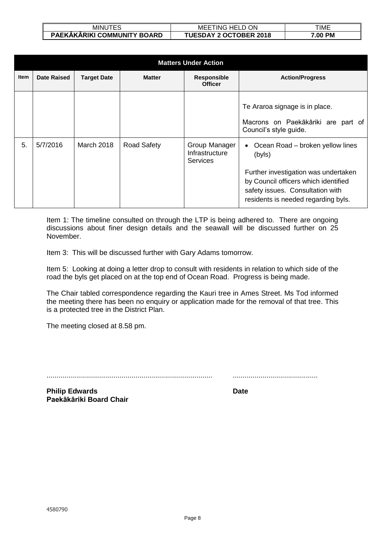| JTES<br>MINU 1              | ON<br>MEE <sup>-</sup><br>:TING HELD C | TIME    |
|-----------------------------|----------------------------------------|---------|
| PAEKĀKĀRIKI COMMUNITY BOARD | <b>TUESDAY 2 OCTOBER 2018</b>          | 7.00 PM |

|             | <b>Matters Under Action</b> |                    |                    |                                                    |                                                                                                                                                                                                         |  |  |
|-------------|-----------------------------|--------------------|--------------------|----------------------------------------------------|---------------------------------------------------------------------------------------------------------------------------------------------------------------------------------------------------------|--|--|
| <b>Item</b> | Date Raised                 | <b>Target Date</b> | <b>Matter</b>      | <b>Responsible</b><br><b>Officer</b>               | <b>Action/Progress</b>                                                                                                                                                                                  |  |  |
|             |                             |                    |                    |                                                    | Te Araroa signage is in place.<br>Macrons on Paekākāriki are part of<br>Council's style guide.                                                                                                          |  |  |
| 5.          | 5/7/2016                    | <b>March 2018</b>  | <b>Road Safety</b> | Group Manager<br>Infrastructure<br><b>Services</b> | • Ocean Road – broken yellow lines<br>(byls)<br>Further investigation was undertaken<br>by Council officers which identified<br>safety issues. Consultation with<br>residents is needed regarding byls. |  |  |

Item 1: The timeline consulted on through the LTP is being adhered to. There are ongoing discussions about finer design details and the seawall will be discussed further on 25 November.

Item 3: This will be discussed further with Gary Adams tomorrow.

Item 5: Looking at doing a letter drop to consult with residents in relation to which side of the road the byls get placed on at the top end of Ocean Road. Progress is being made.

The Chair tabled correspondence regarding the Kauri tree in Ames Street. Ms Tod informed the meeting there has been no enquiry or application made for the removal of that tree. This is a protected tree in the District Plan.

The meeting closed at 8.58 pm.

.................................................................................... ...........................................

**Philip Edwards Date Paekākāriki Board Chair**